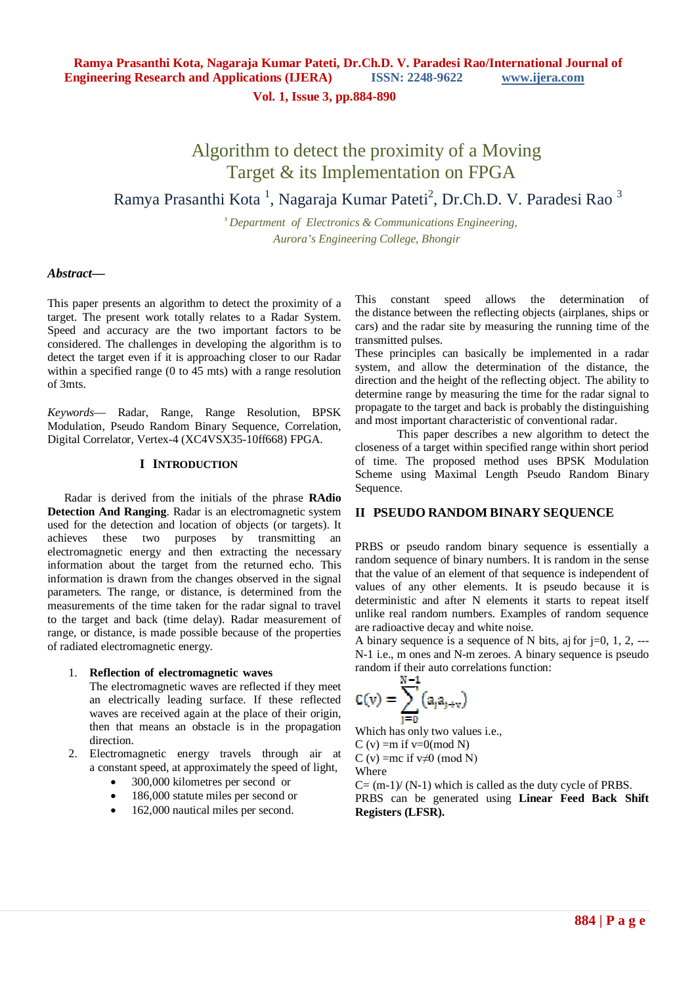**Vol. 1, Issue 3, pp.884-890**

# Algorithm to detect the proximity of a Moving Target & its Implementation on FPGA

# Ramya Prasanthi Kota<sup>1</sup>, Nagaraja Kumar Pateti<sup>2</sup>, Dr.Ch.D. V. Paradesi Rao<sup>3</sup>

*<sup>s</sup>Department of Electronics & Communications Engineering, Aurora's Engineering College, Bhongir*

#### *Abstract***—**

This paper presents an algorithm to detect the proximity of a target. The present work totally relates to a Radar System. Speed and accuracy are the two important factors to be considered. The challenges in developing the algorithm is to detect the target even if it is approaching closer to our Radar within a specified range (0 to 45 mts) with a range resolution of 3mts.

*Keywords*— Radar, Range, Range Resolution, BPSK Modulation, Pseudo Random Binary Sequence, Correlation, Digital Correlator, Vertex-4 (XC4VSX35-10ff668) FPGA.

#### **I INTRODUCTION**

Radar is derived from the initials of the phrase **RAdio Detection And Ranging**. Radar is an electromagnetic system used for the detection and location of objects (or targets). It achieves these two purposes by transmitting an electromagnetic energy and then extracting the necessary information about the target from the returned echo. This information is drawn from the changes observed in the signal parameters. The range, or distance, is determined from the measurements of the time taken for the radar signal to travel to the target and back (time delay). Radar measurement of range, or distance, is made possible because of the properties of radiated electromagnetic energy.

#### 1. **Reflection of electromagnetic waves**

The electromagnetic waves are reflected if they meet an electrically leading surface. If these reflected waves are received again at the place of their origin, then that means an obstacle is in the propagation direction.

- 2. Electromagnetic energy travels through air at a constant speed, at approximately the speed of light,
	- 300,000 kilometres per second or
	- 186,000 statute miles per second or
	- 162,000 nautical miles per second.

This constant speed allows the determination of the distance between the reflecting objects (airplanes, ships or cars) and the radar site by measuring the running time of the transmitted pulses.

These principles can basically be implemented in a radar system, and allow the determination of the distance, the direction and the height of the reflecting object. The ability to determine range by measuring the time for the radar signal to propagate to the target and back is probably the distinguishing and most important characteristic of conventional radar.

This paper describes a new algorithm to detect the closeness of a target within specified range within short period of time. The proposed method uses BPSK Modulation Scheme using Maximal Length Pseudo Random Binary Sequence.

### **II PSEUDO RANDOM BINARY SEQUENCE**

PRBS or pseudo random binary sequence is essentially a random sequence of binary numbers. It is random in the sense that the value of an element of that sequence is independent of values of any other elements. It is pseudo because it is deterministic and after N elements it starts to repeat itself unlike real random numbers. Examples of random sequence are radioactive decay and white noise.

A binary sequence is a sequence of N bits, aj for  $i=0, 1, 2,$  ---N-1 i.e., m ones and N-m zeroes. A binary sequence is pseudo random if their auto correlations function:

$$
C(v) = \sum_{i=0}^{N-1} (a_i a_{j+v})
$$

Which has only two values i.e., C (v) = m if  $v=0 \pmod{N}$ C (v) =mc if  $v \neq 0$  (mod N)

Where

 $C = (m-1)/(N-1)$  which is called as the duty cycle of PRBS. PRBS can be generated using **Linear Feed Back Shift Registers (LFSR).**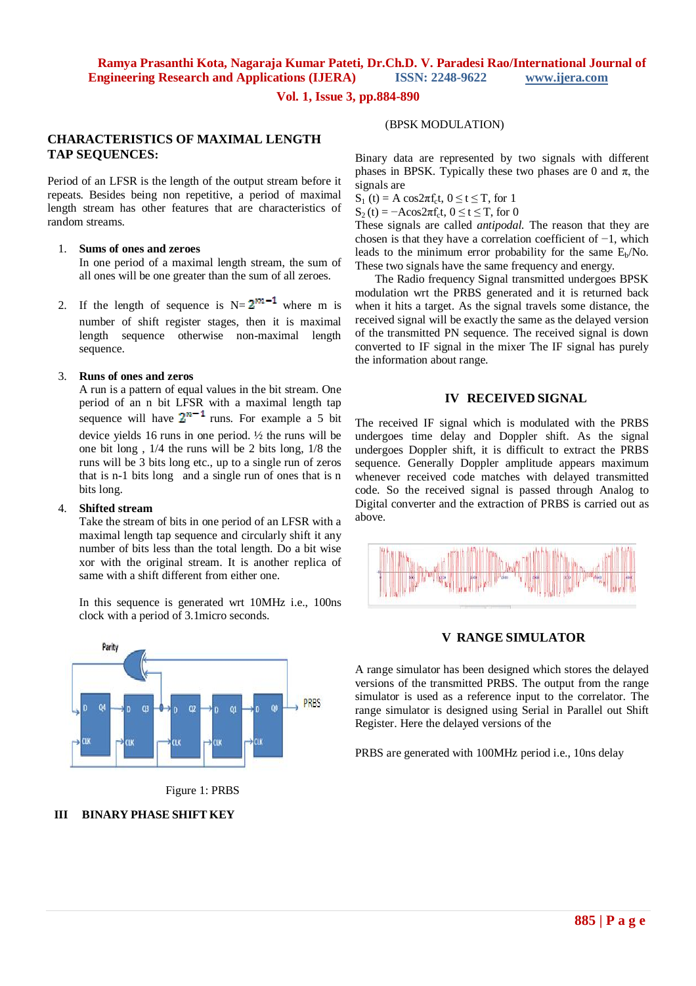#### **Vol. 1, Issue 3, pp.884-890**

#### **CHARACTERISTICS OF MAXIMAL LENGTH TAP SEQUENCES:**

Period of an LFSR is the length of the output stream before it repeats. Besides being non repetitive, a period of maximal length stream has other features that are characteristics of random streams.

#### 1. **Sums of ones and zeroes**

In one period of a maximal length stream, the sum of all ones will be one greater than the sum of all zeroes.

2. If the length of sequence is  $N=2^{m-1}$  where m is number of shift register stages, then it is maximal length sequence otherwise non-maximal length sequence.

#### 3. **Runs of ones and zeros**

A run is a pattern of equal values in the bit stream. One period of an n bit LFSR with a maximal length tap sequence will have  $2^{n-1}$  runs. For example a 5 bit device yields 16 runs in one period. ½ the runs will be one bit long , 1/4 the runs will be 2 bits long, 1/8 the runs will be 3 bits long etc., up to a single run of zeros that is n-1 bits long and a single run of ones that is n bits long.

#### 4. **Shifted stream**

Take the stream of bits in one period of an LFSR with a maximal length tap sequence and circularly shift it any number of bits less than the total length. Do a bit wise xor with the original stream. It is another replica of same with a shift different from either one.

In this sequence is generated wrt 10MHz i.e., 100ns clock with a period of 3.1micro seconds.



Figure 1: PRBS

### **III BINARY PHASE SHIFT KEY**

#### (BPSK MODULATION)

Binary data are represented by two signals with different phases in BPSK. Typically these two phases are 0 and  $\pi$ , the signals are

 $S_1(t) = A \cos 2\pi f_c t, 0 \le t \le T$ , for 1

 $S_2(t) = -A\cos 2\pi f_c t$ ,  $0 \le t \le T$ , for 0

These signals are called *antipodal.* The reason that they are chosen is that they have a correlation coefficient of −1, which leads to the minimum error probability for the same  $E_b/N_o$ . These two signals have the same frequency and energy.

The Radio frequency Signal transmitted undergoes BPSK modulation wrt the PRBS generated and it is returned back when it hits a target. As the signal travels some distance, the received signal will be exactly the same as the delayed version of the transmitted PN sequence. The received signal is down converted to IF signal in the mixer The IF signal has purely the information about range.

#### **IV RECEIVED SIGNAL**

The received IF signal which is modulated with the PRBS undergoes time delay and Doppler shift. As the signal undergoes Doppler shift, it is difficult to extract the PRBS sequence. Generally Doppler amplitude appears maximum whenever received code matches with delayed transmitted code. So the received signal is passed through Analog to Digital converter and the extraction of PRBS is carried out as above.



### **V RANGE SIMULATOR**

A range simulator has been designed which stores the delayed versions of the transmitted PRBS. The output from the range simulator is used as a reference input to the correlator. The range simulator is designed using Serial in Parallel out Shift Register. Here the delayed versions of the

PRBS are generated with 100MHz period i.e., 10ns delay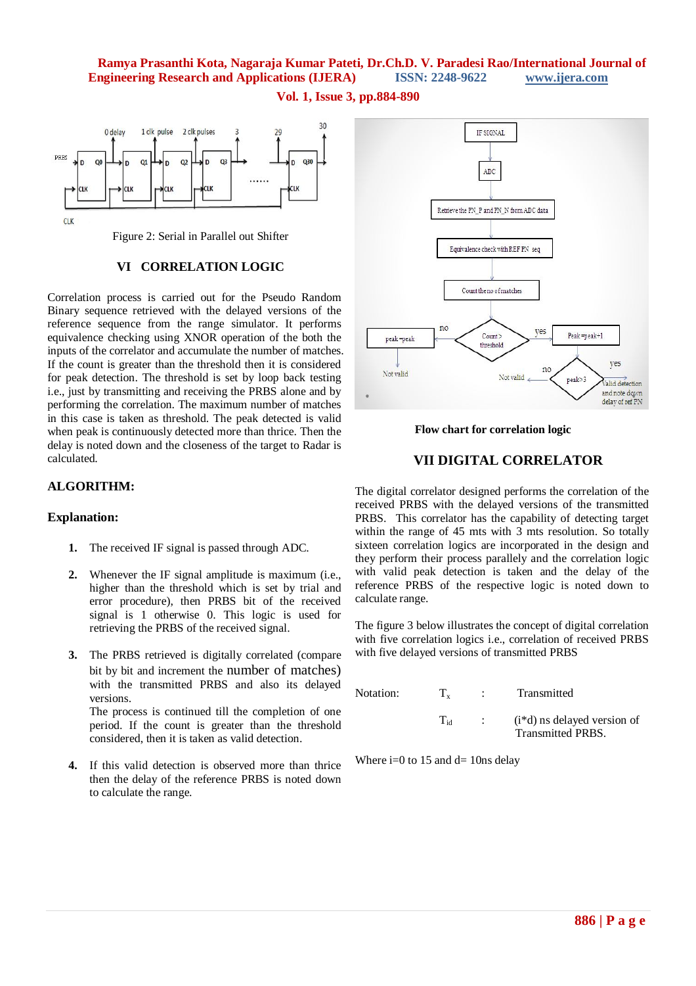**Vol. 1, Issue 3, pp.884-890**



### **VI CORRELATION LOGIC**

Correlation process is carried out for the Pseudo Random Binary sequence retrieved with the delayed versions of the reference sequence from the range simulator. It performs equivalence checking using XNOR operation of the both the inputs of the correlator and accumulate the number of matches. If the count is greater than the threshold then it is considered for peak detection. The threshold is set by loop back testing i.e., just by transmitting and receiving the PRBS alone and by performing the correlation. The maximum number of matches in this case is taken as threshold. The peak detected is valid when peak is continuously detected more than thrice. Then the delay is noted down and the closeness of the target to Radar is calculated.

## **ALGORITHM:**

### **Explanation:**

- **1.** The received IF signal is passed through ADC.
- **2.** Whenever the IF signal amplitude is maximum (i.e., higher than the threshold which is set by trial and error procedure), then PRBS bit of the received signal is 1 otherwise 0. This logic is used for retrieving the PRBS of the received signal.
- **3.** The PRBS retrieved is digitally correlated (compare bit by bit and increment the number of matches) with the transmitted PRBS and also its delayed versions. The process is continued till the completion of one period. If the count is greater than the threshold considered, then it is taken as valid detection.
- **4.** If this valid detection is observed more than thrice then the delay of the reference PRBS is noted down to calculate the range.



 **Flow chart for correlation logic**

## **VII DIGITAL CORRELATOR**

The digital correlator designed performs the correlation of the received PRBS with the delayed versions of the transmitted PRBS. This correlator has the capability of detecting target within the range of 45 mts with 3 mts resolution. So totally sixteen correlation logics are incorporated in the design and they perform their process parallely and the correlation logic with valid peak detection is taken and the delay of the reference PRBS of the respective logic is noted down to calculate range.

The figure 3 below illustrates the concept of digital correlation with five correlation logics i.e., correlation of received PRBS with five delayed versions of transmitted PRBS

| Notation: | $\mathbf{T}_{\mathbf{v}}$ | <b>Contract Contract</b> | Transmitted                                                 |
|-----------|---------------------------|--------------------------|-------------------------------------------------------------|
|           | Ta                        |                          | $(i * d)$ ns delayed version of<br><b>Transmitted PRBS.</b> |

Where  $i=0$  to 15 and  $d=10$ ns delay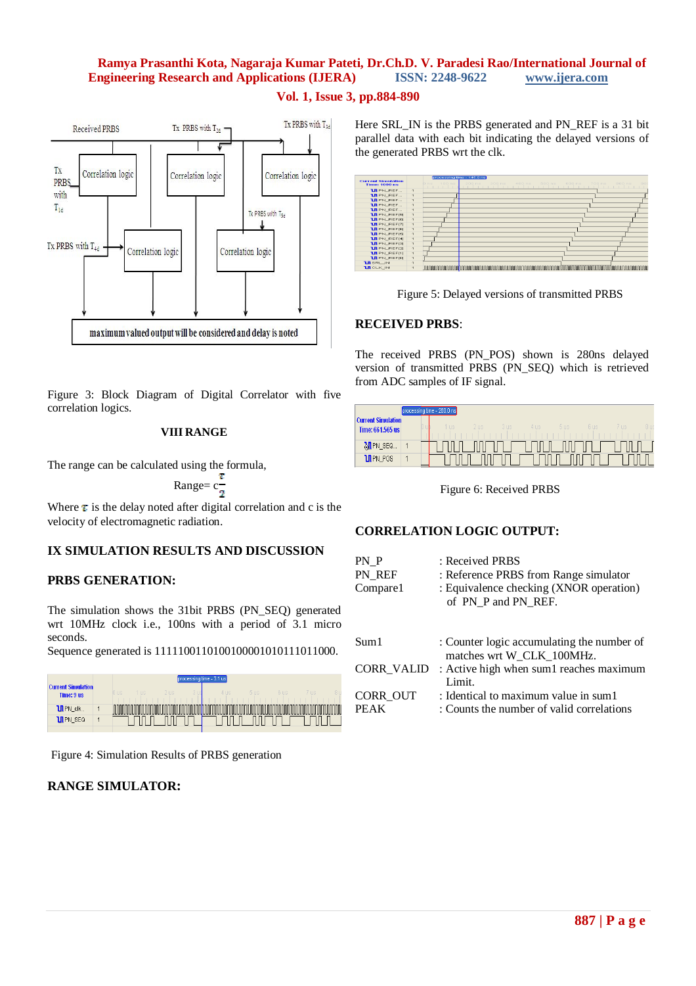## **Vol. 1, Issue 3, pp.884-890**



Figure 3: Block Diagram of Digital Correlator with five correlation logics.

#### **VIII RANGE**

The range can be calculated using the formula,

Range = 
$$
c\frac{r}{2}
$$

Where  $\tau$  is the delay noted after digital correlation and c is the velocity of electromagnetic radiation.

### **IX SIMULATION RESULTS AND DISCUSSION**

### **PRBS GENERATION:**

The simulation shows the 31bit PRBS (PN\_SEQ) generated wrt 10MHz clock i.e., 100ns with a period of 3.1 micro seconds.

Sequence generated is 1111100110100100001010111011000.



Figure 4: Simulation Results of PRBS generation

### **RANGE SIMULATOR:**

Here SRL IN is the PRBS generated and PN\_REF is a 31 bit parallel data with each bit indicating the delayed versions of the generated PRBS wrt the clk.





### **RECEIVED PRBS**:

The received PRBS (PN\_POS) shown is 280ns delayed version of transmitted PRBS (PN\_SEQ) which is retrieved from ADC samples of IF signal.

|                                               | processing time - 280.0 ns                                                                              |      |
|-----------------------------------------------|---------------------------------------------------------------------------------------------------------|------|
| <b>Current Simulation</b><br>Time: 661.565 us | 2 <sub>118</sub><br><b>US</b><br>$3 \, \text{ms}$<br>5 <sub>118</sub><br>6 IIS<br>4 U.S.<br><b>TIIS</b> | 8 us |
| MPN_SEQ                                       |                                                                                                         |      |
| <b>U</b> PN_POS                               |                                                                                                         |      |

Figure 6: Received PRBS

## **CORRELATION LOGIC OUTPUT:**

| PN P<br>PN REF<br>Compare1 | : Received PRBS<br>: Reference PRBS from Range simulator<br>: Equivalence checking (XNOR operation)<br>of PN P and PN REF. |
|----------------------------|----------------------------------------------------------------------------------------------------------------------------|
| Sum1                       | : Counter logic accumulating the number of<br>matches wrt W_CLK_100MHz.                                                    |
| <b>CORR VALID</b>          | : Active high when sum1 reaches maximum<br>Limit.                                                                          |
| CORR OUT<br>PEAK           | : Identical to maximum value in sum1<br>: Counts the number of valid correlations                                          |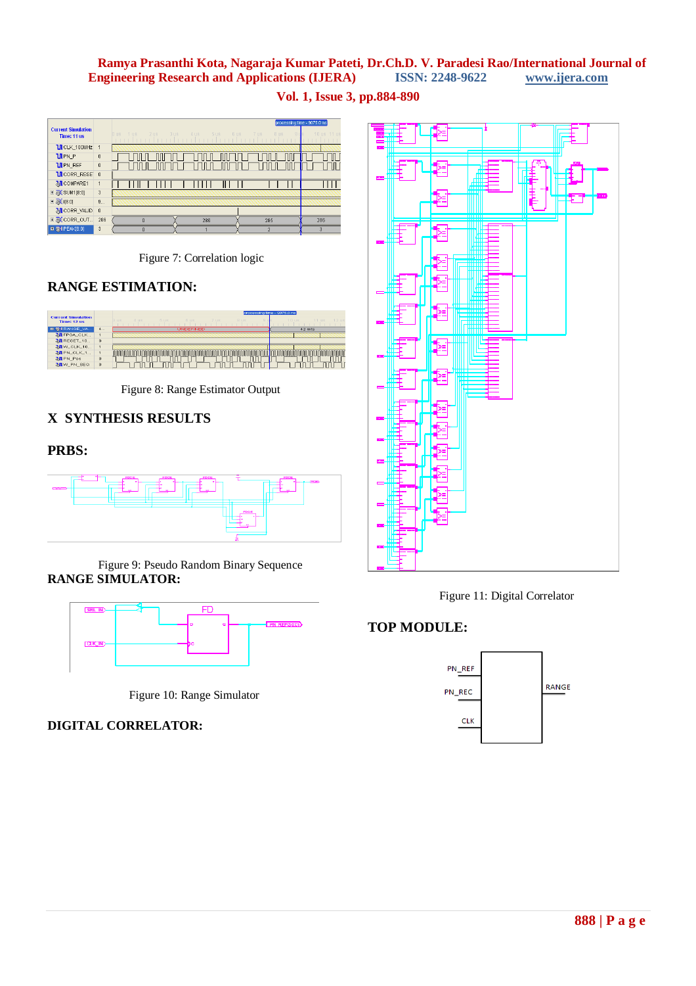**Vol. 1, Issue 3, pp.884-890**

|                                          |                | processing time - 9075.0 ns              |                      |                      |                |
|------------------------------------------|----------------|------------------------------------------|----------------------|----------------------|----------------|
| <b>Current Simulation</b><br>Time: 11 us |                | $2$ us<br>3us<br>1 <sub>us</sub><br>Jus. | $4 \text{us}$<br>5us | 7 us<br>8 us<br>6 us | 10 us 11 us    |
| <b>UI</b> CLK_100MHz                     | 1              |                                          |                      |                      |                |
| $U$ PN $P$                               | $\theta$       |                                          |                      |                      |                |
| <b>LIPN REF</b>                          | $\theta$       |                                          |                      |                      |                |
| <b>UI</b> CORR_RESE                      | $\theta$       |                                          |                      |                      |                |
| MCOMPARE1                                | 1              |                                          |                      |                      |                |
| <b>E &amp; SUM1[8:0]</b>                 | $\overline{3}$ |                                          |                      |                      |                |
| $\Box$ $\partial$ i[8:0]                 | 9              |                                          |                      |                      |                |
| MCORR_VALID                              | 0              |                                          |                      |                      |                |
| <b>EI &amp; CORR_OUT</b>                 | 286            | $\Omega$                                 | 286                  | 285                  | 286            |
| <b>B</b> & PEAK(8:0)                     | 3              | $\theta$                                 |                      | $\overline{2}$       | $\overline{3}$ |

Figure 7: Correlation logic

## **RANGE ESTIMATION:**



Figure 8: Range Estimator Output

# **X SYNTHESIS RESULTS**

## **PRBS:**



Figure 9: Pseudo Random Binary Sequence **RANGE SIMULATOR:**



Figure 10: Range Simulator

**DIGITAL CORRELATOR:**





# **TOP MODULE:**

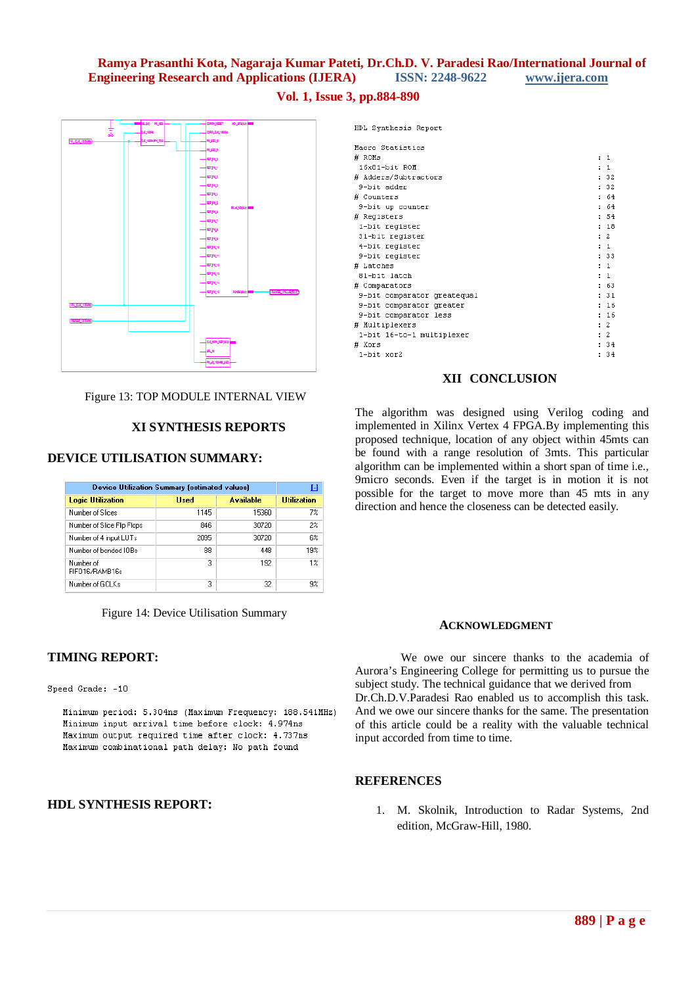### **Vol. 1, Issue 3, pp.884-890**



Figure 13: TOP MODULE INTERNAL VIEW

#### **XI SYNTHESIS REPORTS**

## **DEVICE UTILISATION SUMMARY:**

| <b>Device Utilization Summary (estimated values)</b> | H           |                  |                    |
|------------------------------------------------------|-------------|------------------|--------------------|
| <b>Logic Utilization</b>                             | <b>Used</b> | <b>Available</b> | <b>Utilization</b> |
| Number of Slices                                     | 1145        | 15360            | 7%                 |
| Number of Slice Flip Flops                           | 846         | 30720            | $2\%$              |
| Number of 4 input LUTs                               | 2095        | 30720            | 6%                 |
| Number of bonded IOBs                                | 88          | 448              | 19%                |
| Number of<br>FIFO16/RAMB16s                          | 3           | 192              | $1\%$              |
| Number of GCLKs                                      | 3           | 32               | 9%                 |

Figure 14: Device Utilisation Summary

#### **TIMING REPORT:**

Speed Grade: -10

Minimum period: 5.304ns (Maximum Frequency: 188.541MHz) Minimum input arrival time before clock: 4.974ns Maximum output required time after clock: 4.737ns Maximum combinational path delay: No path found

## **HDL SYNTHESIS REPORT:**

| Macro Statistics<br># ROMs<br>: 1<br>: 1<br>16x81-bit ROM<br>: 32<br># Adders/Subtractors<br>: 32<br>9-bit adder<br>64<br># Counters<br>$\mathbf{r}$<br>64<br>9-bit up counter<br>÷.<br>: 54<br># Registers<br>: 18<br>1-bit register<br>: 2<br>31-bit register<br>$\pm$ 1<br>4-bit register<br>: 33<br>9-bit register<br># Latches<br>$\pm$ 1<br>81-bit latch<br>: 1<br>: 63<br># Comparators<br>: 31<br>9-bit comparator greatequal<br>16<br>9-bit comparator greater<br>16<br>9-bit comparator less<br>: 2<br># Multiplexers<br>$\cdot$ 2<br>1-bit 16-to-1 multiplexer<br># Xors<br>: 34<br>34<br>1-bit xor2 | HDL Synthesis Report |  |  |  |
|-----------------------------------------------------------------------------------------------------------------------------------------------------------------------------------------------------------------------------------------------------------------------------------------------------------------------------------------------------------------------------------------------------------------------------------------------------------------------------------------------------------------------------------------------------------------------------------------------------------------|----------------------|--|--|--|
|                                                                                                                                                                                                                                                                                                                                                                                                                                                                                                                                                                                                                 |                      |  |  |  |
|                                                                                                                                                                                                                                                                                                                                                                                                                                                                                                                                                                                                                 |                      |  |  |  |
|                                                                                                                                                                                                                                                                                                                                                                                                                                                                                                                                                                                                                 |                      |  |  |  |
|                                                                                                                                                                                                                                                                                                                                                                                                                                                                                                                                                                                                                 |                      |  |  |  |
|                                                                                                                                                                                                                                                                                                                                                                                                                                                                                                                                                                                                                 |                      |  |  |  |
|                                                                                                                                                                                                                                                                                                                                                                                                                                                                                                                                                                                                                 |                      |  |  |  |
|                                                                                                                                                                                                                                                                                                                                                                                                                                                                                                                                                                                                                 |                      |  |  |  |
|                                                                                                                                                                                                                                                                                                                                                                                                                                                                                                                                                                                                                 |                      |  |  |  |
|                                                                                                                                                                                                                                                                                                                                                                                                                                                                                                                                                                                                                 |                      |  |  |  |
|                                                                                                                                                                                                                                                                                                                                                                                                                                                                                                                                                                                                                 |                      |  |  |  |
|                                                                                                                                                                                                                                                                                                                                                                                                                                                                                                                                                                                                                 |                      |  |  |  |
|                                                                                                                                                                                                                                                                                                                                                                                                                                                                                                                                                                                                                 |                      |  |  |  |
|                                                                                                                                                                                                                                                                                                                                                                                                                                                                                                                                                                                                                 |                      |  |  |  |
|                                                                                                                                                                                                                                                                                                                                                                                                                                                                                                                                                                                                                 |                      |  |  |  |
|                                                                                                                                                                                                                                                                                                                                                                                                                                                                                                                                                                                                                 |                      |  |  |  |
|                                                                                                                                                                                                                                                                                                                                                                                                                                                                                                                                                                                                                 |                      |  |  |  |
|                                                                                                                                                                                                                                                                                                                                                                                                                                                                                                                                                                                                                 |                      |  |  |  |
|                                                                                                                                                                                                                                                                                                                                                                                                                                                                                                                                                                                                                 |                      |  |  |  |
|                                                                                                                                                                                                                                                                                                                                                                                                                                                                                                                                                                                                                 |                      |  |  |  |
|                                                                                                                                                                                                                                                                                                                                                                                                                                                                                                                                                                                                                 |                      |  |  |  |
|                                                                                                                                                                                                                                                                                                                                                                                                                                                                                                                                                                                                                 |                      |  |  |  |
|                                                                                                                                                                                                                                                                                                                                                                                                                                                                                                                                                                                                                 |                      |  |  |  |

#### **XII CONCLUSION**

The algorithm was designed using Verilog coding and implemented in Xilinx Vertex 4 FPGA.By implementing this proposed technique, location of any object within 45mts can be found with a range resolution of 3mts. This particular algorithm can be implemented within a short span of time i.e., 9micro seconds. Even if the target is in motion it is not possible for the target to move more than 45 mts in any direction and hence the closeness can be detected easily.

#### **ACKNOWLEDGMENT**

 We owe our sincere thanks to the academia of Aurora's Engineering College for permitting us to pursue the subject study. The technical guidance that we derived from Dr.Ch.D.V.Paradesi Rao enabled us to accomplish this task. And we owe our sincere thanks for the same. The presentation of this article could be a reality with the valuable technical input accorded from time to time.

#### **REFERENCES**

1. M. Skolnik, Introduction to Radar Systems, 2nd edition, McGraw-Hill, 1980.